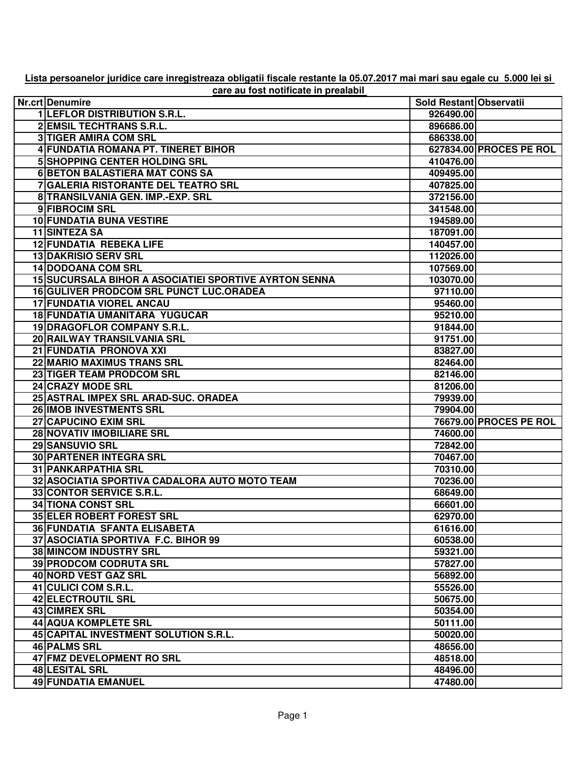| care au fost notificate in prealabil |                                                              |                         |                         |  |
|--------------------------------------|--------------------------------------------------------------|-------------------------|-------------------------|--|
|                                      | Nr.crt Denumire                                              | Sold Restant Observatii |                         |  |
|                                      | 1 LEFLOR DISTRIBUTION S.R.L.                                 | 926490.00               |                         |  |
|                                      | <b>2 EMSIL TECHTRANS S.R.L.</b>                              | 896686.00               |                         |  |
|                                      | <b>3 TIGER AMIRA COM SRL</b>                                 | 686338.00               |                         |  |
|                                      | 4 FUNDATIA ROMANA PT. TINERET BIHOR                          |                         | 627834.00 PROCES PE ROL |  |
|                                      | 5 SHOPPING CENTER HOLDING SRL                                | 410476.00               |                         |  |
|                                      | <b>6 BETON BALASTIERA MAT CONS SA</b>                        | 409495.00               |                         |  |
|                                      | 7 GALERIA RISTORANTE DEL TEATRO SRL                          | 407825.00               |                         |  |
|                                      | 8 TRANSILVANIA GEN. IMP.-EXP. SRL                            | 372156.00               |                         |  |
|                                      | 9 FIBROCIM SRL                                               | 341548.00               |                         |  |
|                                      | <b>10 FUNDATIA BUNA VESTIRE</b>                              | 194589.00               |                         |  |
|                                      | 11 SINTEZA SA                                                | 187091.00               |                         |  |
|                                      | <b>12 FUNDATIA REBEKA LIFE</b>                               | 140457.00               |                         |  |
|                                      | <b>13 DAKRISIO SERV SRL</b>                                  | 112026.00               |                         |  |
|                                      | 14 DODOANA COM SRL                                           | 107569.00               |                         |  |
|                                      | <b>15 SUCURSALA BIHOR A ASOCIATIEI SPORTIVE AYRTON SENNA</b> | 103070.00               |                         |  |
|                                      | <b>16 GULIVER PRODCOM SRL PUNCT LUC.ORADEA</b>               | 97110.00                |                         |  |
|                                      | <b>17 FUNDATIA VIOREL ANCAU</b>                              | 95460.00                |                         |  |
|                                      | 18 FUNDATIA UMANITARA YUGUCAR                                | 95210.00                |                         |  |
|                                      | 19 DRAGOFLOR COMPANY S.R.L.                                  | 91844.00                |                         |  |
|                                      | 20 RAILWAY TRANSILVANIA SRL                                  | 91751.00                |                         |  |
|                                      | 21 FUNDATIA PRONOVA XXI                                      | 83827.00                |                         |  |
|                                      | 22 MARIO MAXIMUS TRANS SRL                                   | 82464.00                |                         |  |
|                                      | 23 TIGER TEAM PRODCOM SRL                                    | 82146.00                |                         |  |
|                                      | 24 CRAZY MODE SRL                                            | 81206.00                |                         |  |
|                                      | 25 ASTRAL IMPEX SRL ARAD-SUC. ORADEA                         | 79939.00                |                         |  |
|                                      | 26 IMOB INVESTMENTS SRL                                      | 79904.00                |                         |  |
|                                      | 27 CAPUCINO EXIM SRL                                         |                         | 76679.00 PROCES PE ROL  |  |
|                                      | 28 NOVATIV IMOBILIARE SRL                                    | 74600.00                |                         |  |
|                                      | 29 SANSUVIO SRL                                              | 72842.00                |                         |  |
|                                      | <b>30 PARTENER INTEGRA SRL</b>                               | 70467.00                |                         |  |
|                                      | <b>31 PANKARPATHIA SRL</b>                                   | 70310.00                |                         |  |
|                                      | 32 ASOCIATIA SPORTIVA CADALORA AUTO MOTO TEAM                | 70236.00                |                         |  |
|                                      | 33 CONTOR SERVICE S.R.L.                                     | 68649.00                |                         |  |
|                                      | <b>34 TIONA CONST SRL</b>                                    | 66601.00                |                         |  |
|                                      | <b>35 ELER ROBERT FOREST SRL</b>                             | 62970.00                |                         |  |
|                                      | 36 FUNDATIA SFANTA ELISABETA                                 | 61616.00                |                         |  |
|                                      | 37 ASOCIATIA SPORTIVA F.C. BIHOR 99                          | 60538.00                |                         |  |
|                                      | <b>38 MINCOM INDUSTRY SRL</b>                                | 59321.00                |                         |  |
|                                      | <b>39 PRODCOM CODRUTA SRL</b>                                | 57827.00                |                         |  |
|                                      | 40 NORD VEST GAZ SRL                                         | 56892.00                |                         |  |
|                                      | 41 CULICI COM S.R.L.                                         | 55526.00                |                         |  |
|                                      | 42 ELECTROUTIL SRL                                           | 50675.00                |                         |  |
|                                      | 43 CIMREX SRL                                                | 50354.00                |                         |  |
|                                      | 44 AQUA KOMPLETE SRL                                         | 50111.00                |                         |  |
|                                      | 45 CAPITAL INVESTMENT SOLUTION S.R.L.                        | 50020.00                |                         |  |
|                                      | 46 PALMS SRL                                                 | 48656.00                |                         |  |
|                                      | 47 FMZ DEVELOPMENT RO SRL                                    | 48518.00                |                         |  |
|                                      | 48 LESITAL SRL                                               | 48496.00                |                         |  |
|                                      | 49 FUNDATIA EMANUEL                                          | 47480.00                |                         |  |

**Lista persoanelor juridice care inregistreaza obligatii fiscale restante la 05.07.2017 mai mari sau egale cu 5.000 lei si**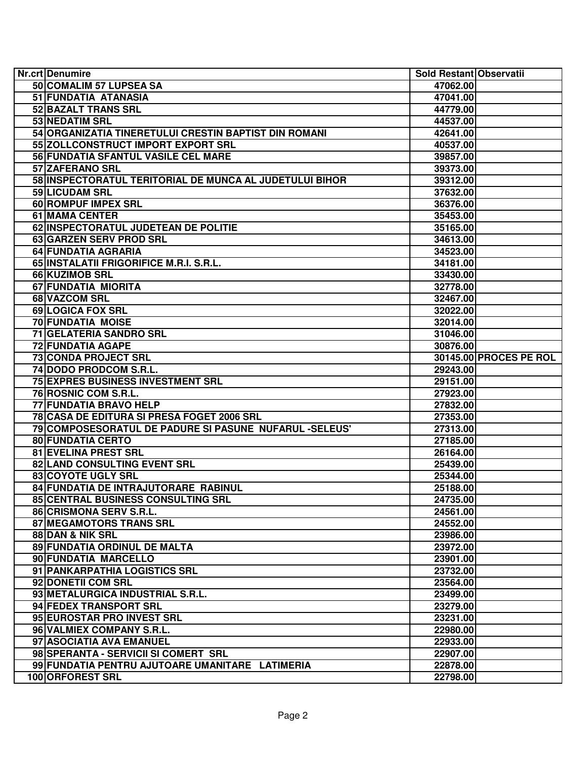| Nr.crt Denumire                                         | Sold Restant Observatii |                        |
|---------------------------------------------------------|-------------------------|------------------------|
| 50 COMALIM 57 LUPSEA SA                                 | 47062.00                |                        |
| 51 FUNDATIA ATANASIA                                    | 47041.00                |                        |
| 52 BAZALT TRANS SRL                                     | 44779.00                |                        |
| 53 NEDATIM SRL                                          | 44537.00                |                        |
| 54 ORGANIZATIA TINERETULUI CRESTIN BAPTIST DIN ROMANI   | 42641.00                |                        |
| 55 ZOLLCONSTRUCT IMPORT EXPORT SRL                      | 40537.00                |                        |
| 56 FUNDATIA SFANTUL VASILE CEL MARE                     | 39857.00                |                        |
| 57 ZAFERANO SRL                                         | 39373.00                |                        |
| 58 INSPECTORATUL TERITORIAL DE MUNCA AL JUDETULUI BIHOR | 39312.00                |                        |
| 59 LICUDAM SRL                                          | 37632.00                |                        |
| 60 ROMPUF IMPEX SRL                                     | 36376.00                |                        |
| 61 MAMA CENTER                                          | 35453.00                |                        |
| 62 INSPECTORATUL JUDETEAN DE POLITIE                    | 35165.00                |                        |
| 63 GARZEN SERV PROD SRL                                 | 34613.00                |                        |
| 64 FUNDATIA AGRARIA                                     | 34523.00                |                        |
| 65 INSTALATII FRIGORIFICE M.R.I. S.R.L.                 | 34181.00                |                        |
| 66 KUZIMOB SRL                                          | 33430.00                |                        |
| 67 FUNDATIA MIORITA                                     | 32778.00                |                        |
| 68 VAZCOM SRL                                           | 32467.00                |                        |
| 69 LOGICA FOX SRL                                       | 32022.00                |                        |
| 70 FUNDATIA MOISE                                       | 32014.00                |                        |
| <b>71 GELATERIA SANDRO SRL</b>                          | 31046.00                |                        |
| <b>72 FUNDATIA AGAPE</b>                                | 30876.00                |                        |
| <b>73 CONDA PROJECT SRL</b>                             |                         | 30145.00 PROCES PE ROL |
| 74 DODO PRODCOM S.R.L.                                  | 29243.00                |                        |
| <b>75 EXPRES BUSINESS INVESTMENT SRL</b>                | 29151.00                |                        |
| 76 ROSNIC COM S.R.L.                                    | 27923.00                |                        |
| 77 FUNDATIA BRAVO HELP                                  | 27832.00                |                        |
| 78 CASA DE EDITURA SI PRESA FOGET 2006 SRL              | 27353.00                |                        |
| 79 COMPOSESORATUL DE PADURE SI PASUNE NUFARUL -SELEUS'  | 27313.00                |                        |
| <b>80 FUNDATIA CERTO</b>                                | 27185.00                |                        |
| 81 EVELINA PREST SRL                                    | 26164.00                |                        |
| 82 LAND CONSULTING EVENT SRL                            | 25439.00                |                        |
| 83 COYOTE UGLY SRL                                      | 25344.00                |                        |
| 84 FUNDATIA DE INTRAJUTORARE RABINUL                    | 25188.00                |                        |
| 85 CENTRAL BUSINESS CONSULTING SRL                      | 24735.00                |                        |
| 86 CRISMONA SERV S.R.L.                                 | 24561.00                |                        |
| 87 MEGAMOTORS TRANS SRL                                 | 24552.00                |                        |
| 88 DAN & NIK SRL                                        | 23986.00                |                        |
| 89 FUNDATIA ORDINUL DE MALTA                            | 23972.00                |                        |
| 90 FUNDATIA MARCELLO                                    | 23901.00                |                        |
| 91 PANKARPATHIA LOGISTICS SRL                           | 23732.00                |                        |
| 92 DONETII COM SRL                                      | 23564.00                |                        |
| 93 METALURGICA INDUSTRIAL S.R.L.                        | 23499.00                |                        |
| 94 FEDEX TRANSPORT SRL                                  | 23279.00                |                        |
| 95 EUROSTAR PRO INVEST SRL                              | 23231.00                |                        |
| 96 VALMIEX COMPANY S.R.L.                               | 22980.00                |                        |
| 97 ASOCIATIA AVA EMANUEL                                | 22933.00                |                        |
| 98 SPERANTA - SERVICII SI COMERT SRL                    | 22907.00                |                        |
| 99 FUNDATIA PENTRU AJUTOARE UMANITARE LATIMERIA         | 22878.00                |                        |
| 100 ORFOREST SRL                                        | 22798.00                |                        |
|                                                         |                         |                        |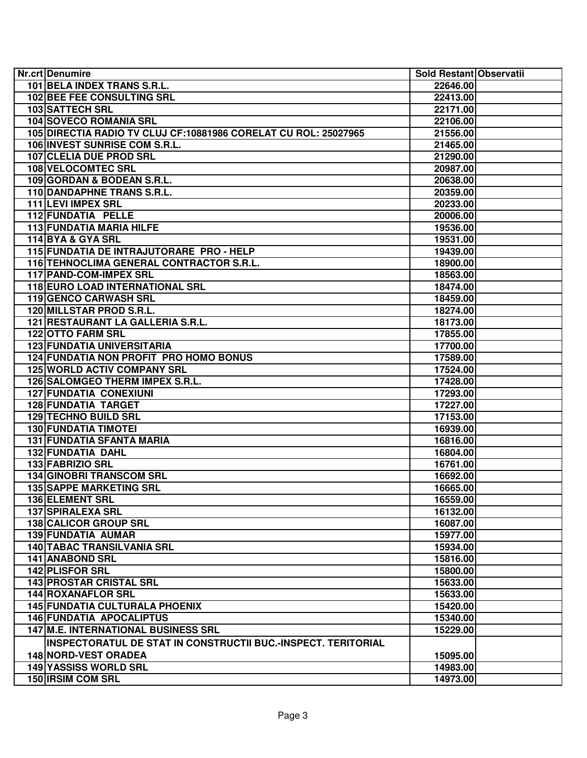| Nr.crt Denumire                                                  | Sold Restant Observatii |  |
|------------------------------------------------------------------|-------------------------|--|
| 101 BELA INDEX TRANS S.R.L.                                      | 22646.00                |  |
| <b>102 BEE FEE CONSULTING SRL</b>                                | 22413.00                |  |
| 103 SATTECH SRL                                                  | 22171.00                |  |
| 104 SOVECO ROMANIA SRL                                           | 22106.00                |  |
| 105 DIRECTIA RADIO TV CLUJ CF: 10881986 CORELAT CU ROL: 25027965 | 21556.00                |  |
| 106 INVEST SUNRISE COM S.R.L.                                    | 21465.00                |  |
| 107 CLELIA DUE PROD SRL                                          | 21290.00                |  |
| 108 VELOCOMTEC SRL                                               | 20987.00                |  |
| 109 GORDAN & BODEAN S.R.L.                                       | 20638.00                |  |
| 110 DANDAPHNE TRANS S.R.L.                                       | 20359.00                |  |
| 111 LEVI IMPEX SRL                                               | 20233.00                |  |
| 112 FUNDATIA PELLE                                               | 20006.00                |  |
| 113 FUNDATIA MARIA HILFE                                         | 19536.00                |  |
| 114 BYA & GYA SRL                                                | 19531.00                |  |
| 115 FUNDATIA DE INTRAJUTORARE PRO - HELP                         | 19439.00                |  |
| 116 TEHNOCLIMA GENERAL CONTRACTOR S.R.L.                         | 18900.00                |  |
| 117 PAND-COM-IMPEX SRL                                           | 18563.00                |  |
| 118 EURO LOAD INTERNATIONAL SRL                                  | 18474.00                |  |
| 119 GENCO CARWASH SRL                                            | 18459.00                |  |
| 120 MILLSTAR PROD S.R.L.                                         | 18274.00                |  |
| 121 RESTAURANT LA GALLERIA S.R.L.                                | 18173.00                |  |
| <b>122 OTTO FARM SRL</b>                                         | 17855.00                |  |
| <b>123 FUNDATIA UNIVERSITARIA</b>                                | 17700.00                |  |
| <b>124 FUNDATIA NON PROFIT PRO HOMO BONUS</b>                    | 17589.00                |  |
| <b>125 WORLD ACTIV COMPANY SRL</b>                               | 17524.00                |  |
| 126 SALOMGEO THERM IMPEX S.R.L.                                  | 17428.00                |  |
| <b>127 FUNDATIA CONEXIUNI</b>                                    | 17293.00                |  |
| <b>128 FUNDATIA TARGET</b>                                       | 17227.00                |  |
| 129 TECHNO BUILD SRL                                             | 17153.00                |  |
| <b>130 FUNDATIA TIMOTEI</b>                                      | 16939.00                |  |
| <b>131 FUNDATIA SFANTA MARIA</b>                                 | 16816.00                |  |
| 132 FUNDATIA DAHL                                                | 16804.00                |  |
| 133 FABRIZIO SRL                                                 |                         |  |
| 134 GINOBRI TRANSCOM SRL                                         | 16761.00<br>16692.00    |  |
| <b>135 SAPPE MARKETING SRL</b>                                   | 16665.00                |  |
| 136 ELEMENT SRL                                                  |                         |  |
|                                                                  | 16559.00                |  |
| <b>137 SPIRALEXA SRL</b>                                         | 16132.00                |  |
| <b>138 CALICOR GROUP SRL</b><br><b>139 FUNDATIA AUMAR</b>        | 16087.00                |  |
|                                                                  | 15977.00                |  |
| <b>140 TABAC TRANSILVANIA SRL</b>                                | 15934.00                |  |
| <b>141 ANABOND SRL</b>                                           | 15816.00                |  |
| <b>142 PLISFOR SRL</b>                                           | 15800.00                |  |
| <b>143 PROSTAR CRISTAL SRL</b>                                   | 15633.00                |  |
| 144 ROXANAFLOR SRL                                               | 15633.00                |  |
| <b>145 FUNDATIA CULTURALA PHOENIX</b>                            | 15420.00                |  |
| <b>146 FUNDATIA APOCALIPTUS</b>                                  | 15340.00                |  |
| <b>147 M.E. INTERNATIONAL BUSINESS SRL</b>                       | 15229.00                |  |
| INSPECTORATUL DE STAT IN CONSTRUCTII BUC.-INSPECT. TERITORIAL    |                         |  |
| <b>148 NORD-VEST ORADEA</b>                                      | 15095.00                |  |
| <b>149 YASSISS WORLD SRL</b>                                     | 14983.00                |  |
| 150 IRSIM COM SRL                                                | 14973.00                |  |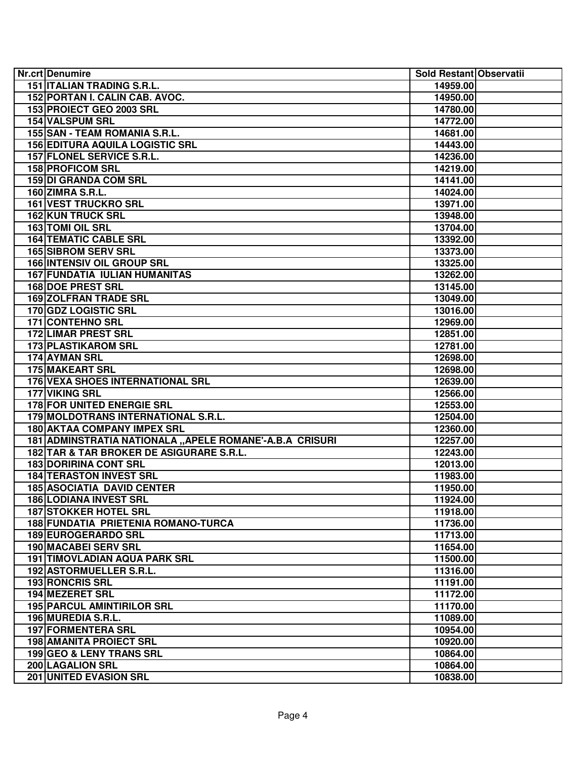| Nr.crt Denumire                                         | Sold Restant Observatii |  |
|---------------------------------------------------------|-------------------------|--|
| <b>151 ITALIAN TRADING S.R.L.</b>                       | 14959.00                |  |
| 152 PORTAN I. CALIN CAB. AVOC.                          | 14950.00                |  |
| 153 PROIECT GEO 2003 SRL                                | 14780.00                |  |
| 154 VALSPUM SRL                                         | 14772.00                |  |
| 155 SAN - TEAM ROMANIA S.R.L.                           | 14681.00                |  |
| <b>156 EDITURA AQUILA LOGISTIC SRL</b>                  | 14443.00                |  |
| 157 FLONEL SERVICE S.R.L.                               | 14236.00                |  |
| <b>158 PROFICOM SRL</b>                                 | 14219.00                |  |
| 159 DI GRANDA COM SRL                                   | 14141.00                |  |
| <b>160 ZIMRA S.R.L.</b>                                 | 14024.00                |  |
| 161 VEST TRUCKRO SRL                                    | 13971.00                |  |
| <b>162 KUN TRUCK SRL</b>                                | 13948.00                |  |
| 163 TOMI OIL SRL                                        | 13704.00                |  |
| <b>164 TEMATIC CABLE SRL</b>                            | 13392.00                |  |
| <b>165 SIBROM SERV SRL</b>                              | 13373.00                |  |
| <b>166 INTENSIV OIL GROUP SRL</b>                       | 13325.00                |  |
| <b>167 FUNDATIA IULIAN HUMANITAS</b>                    | 13262.00                |  |
| <b>168 DOE PREST SRL</b>                                | 13145.00                |  |
| <b>169 ZOLFRAN TRADE SRL</b>                            | 13049.00                |  |
| 170 GDZ LOGISTIC SRL                                    | 13016.00                |  |
| <b>171 CONTEHNO SRL</b>                                 | 12969.00                |  |
| <b>172 LIMAR PREST SRL</b>                              | 12851.00                |  |
| <b>173 PLASTIKAROM SRL</b>                              | 12781.00                |  |
| 174 AYMAN SRL                                           | 12698.00                |  |
| <b>175 MAKEART SRL</b>                                  | 12698.00                |  |
| <b>176 VEXA SHOES INTERNATIONAL SRL</b>                 | 12639.00                |  |
| 177 VIKING SRL                                          | 12566.00                |  |
| <b>178 FOR UNITED ENERGIE SRL</b>                       | 12553.00                |  |
| 179 MOLDOTRANS INTERNATIONAL S.R.L.                     | 12504.00                |  |
| <b>180 AKTAA COMPANY IMPEX SRL</b>                      | 12360.00                |  |
| 181 ADMINSTRATIA NATIONALA "APELE ROMANE'-A.B.A CRISURI | 12257.00                |  |
| 182 TAR & TAR BROKER DE ASIGURARE S.R.L.                | 12243.00                |  |
| <b>183 DORIRINA CONT SRL</b>                            | 12013.00                |  |
| <b>184 TERASTON INVEST SRL</b>                          | 11983.00                |  |
| <b>185 ASOCIATIA DAVID CENTER</b>                       | 11950.00                |  |
| <b>186 LODIANA INVEST SRL</b>                           | 11924.00                |  |
| <b>187 STOKKER HOTEL SRL</b>                            | 11918.00                |  |
| 188 FUNDATIA PRIETENIA ROMANO-TURCA                     | 11736.00                |  |
| <b>189 EUROGERARDO SRL</b>                              | 11713.00                |  |
| <b>190 MACABEI SERV SRL</b>                             | 11654.00                |  |
| <b>191 TIMOVLADIAN AQUA PARK SRL</b>                    | 11500.00                |  |
| 192 ASTORMUELLER S.R.L.                                 | 11316.00                |  |
| 193 RONCRIS SRL                                         | 11191.00                |  |
| 194 MEZERET SRL                                         | 11172.00                |  |
| <b>195 PARCUL AMINTIRILOR SRL</b>                       | 11170.00                |  |
| 196 MUREDIA S.R.L.                                      | 11089.00                |  |
| <b>197 FORMENTERA SRL</b>                               | 10954.00                |  |
| <b>198 AMANITA PROIECT SRL</b>                          | 10920.00                |  |
| 199 GEO & LENY TRANS SRL                                | 10864.00                |  |
| <b>200 LAGALION SRL</b>                                 | 10864.00                |  |
| 201 UNITED EVASION SRL                                  | 10838.00                |  |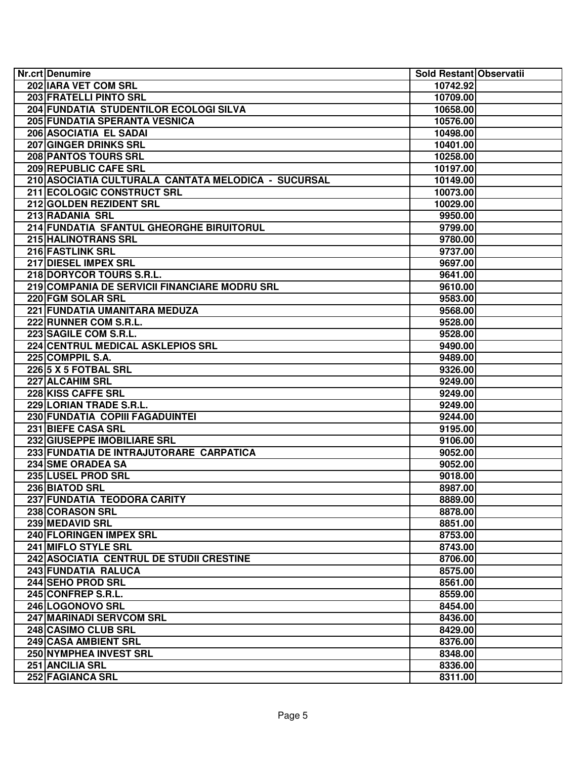| Nr.crt Denumire                                     | Sold Restant Observatii |  |
|-----------------------------------------------------|-------------------------|--|
| 202 IARA VET COM SRL                                | 10742.92                |  |
| <b>203 FRATELLI PINTO SRL</b>                       | 10709.00                |  |
| 204 FUNDATIA STUDENTILOR ECOLOGI SILVA              | 10658.00                |  |
| 205 FUNDATIA SPERANTA VESNICA                       | 10576.00                |  |
| 206 ASOCIATIA EL SADAI                              | 10498.00                |  |
| 207 GINGER DRINKS SRL                               | 10401.00                |  |
| 208 PANTOS TOURS SRL                                | 10258.00                |  |
| 209 REPUBLIC CAFE SRL                               | 10197.00                |  |
| 210 ASOCIATIA CULTURALA CANTATA MELODICA - SUCURSAL | 10149.00                |  |
| 211 ECOLOGIC CONSTRUCT SRL                          | 10073.00                |  |
| 212 GOLDEN REZIDENT SRL                             | 10029.00                |  |
| 213 RADANIA SRL                                     | 9950.00                 |  |
| 214 FUNDATIA SFANTUL GHEORGHE BIRUITORUL            | 9799.00                 |  |
| 215 HALINOTRANS SRL                                 | 9780.00                 |  |
| 216 FASTLINK SRL                                    | 9737.00                 |  |
| 217 DIESEL IMPEX SRL                                | 9697.00                 |  |
| 218 DORYCOR TOURS S.R.L.                            | 9641.00                 |  |
| 219 COMPANIA DE SERVICII FINANCIARE MODRU SRL       | 9610.00                 |  |
| 220 FGM SOLAR SRL                                   | 9583.00                 |  |
| 221 FUNDATIA UMANITARA MEDUZA                       | 9568.00                 |  |
| 222 RUNNER COM S.R.L.                               | 9528.00                 |  |
| 223 SAGILE COM S.R.L.                               | 9528.00                 |  |
| <b>224 CENTRUL MEDICAL ASKLEPIOS SRL</b>            | 9490.00                 |  |
| 225 COMPPIL S.A.                                    | 9489.00                 |  |
| 226 5 X 5 FOTBAL SRL                                | 9326.00                 |  |
| 227 ALCAHIM SRL                                     | 9249.00                 |  |
| 228 KISS CAFFE SRL                                  | 9249.00                 |  |
| 229 LORIAN TRADE S.R.L.                             | 9249.00                 |  |
| 230 FUNDATIA COPIII FAGADUINTEI                     | 9244.00                 |  |
| 231 BIEFE CASA SRL                                  | 9195.00                 |  |
| 232 GIUSEPPE IMOBILIARE SRL                         | 9106.00                 |  |
| 233 FUNDATIA DE INTRAJUTORARE CARPATICA             | 9052.00                 |  |
| 234 SME ORADEA SA                                   | 9052.00                 |  |
| 235 LUSEL PROD SRL                                  | 9018.00                 |  |
| 236 BIATOD SRL                                      | 8987.00                 |  |
| 237 FUNDATIA TEODORA CARITY                         | 8889.00                 |  |
| 238 CORASON SRL                                     | 8878.00                 |  |
| 239 MEDAVID SRL                                     | 8851.00                 |  |
| 240 FLORINGEN IMPEX SRL                             | 8753.00                 |  |
| 241 MIFLO STYLE SRL                                 | 8743.00                 |  |
| 242 ASOCIATIA CENTRUL DE STUDII CRESTINE            | 8706.00                 |  |
| 243 FUNDATIA RALUCA                                 | 8575.00                 |  |
| 244 SEHO PROD SRL                                   | 8561.00                 |  |
| 245 CONFREP S.R.L.                                  | 8559.00                 |  |
| 246 LOGONOVO SRL                                    | 8454.00                 |  |
| 247 MARINADI SERVCOM SRL                            | 8436.00                 |  |
| 248 CASIMO CLUB SRL                                 | 8429.00                 |  |
| 249 CASA AMBIENT SRL                                | 8376.00                 |  |
| <b>250 NYMPHEA INVEST SRL</b>                       | 8348.00                 |  |
| 251 ANCILIA SRL                                     | 8336.00                 |  |
| 252 FAGIANCA SRL                                    | 8311.00                 |  |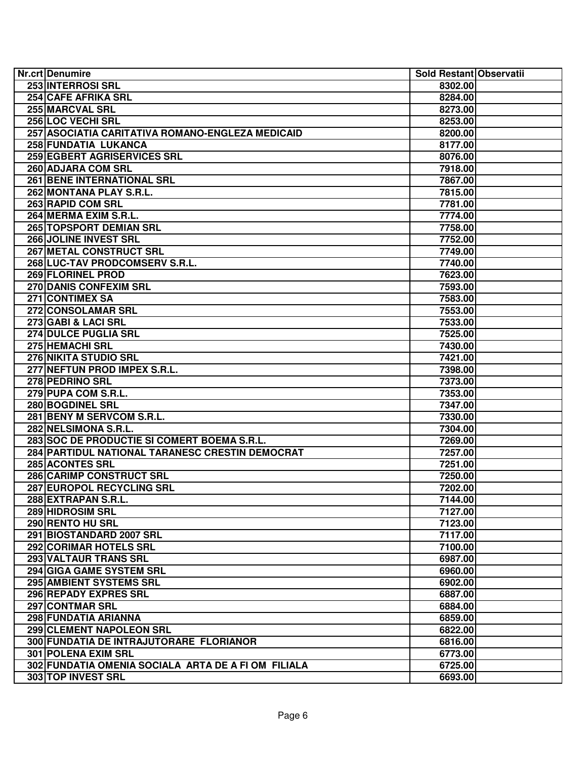| Nr.crt Denumire                                     | Sold Restant Observatii |
|-----------------------------------------------------|-------------------------|
| <b>253 INTERROSI SRL</b>                            | 8302.00                 |
| <b>254 CAFE AFRIKA SRL</b>                          | 8284.00                 |
| 255 MARCVAL SRL                                     | 8273.00                 |
| 256 LOC VECHI SRL                                   | 8253.00                 |
| 257 ASOCIATIA CARITATIVA ROMANO-ENGLEZA MEDICAID    | 8200.00                 |
| 258 FUNDATIA LUKANCA                                | 8177.00                 |
| 259 EGBERT AGRISERVICES SRL                         | 8076.00                 |
| 260 ADJARA COM SRL                                  | 7918.00                 |
| <b>261 BENE INTERNATIONAL SRL</b>                   | 7867.00                 |
| 262 MONTANA PLAY S.R.L.                             | 7815.00                 |
| 263 RAPID COM SRL                                   | 7781.00                 |
| 264 MERMA EXIM S.R.L.                               | 7774.00                 |
| 265 TOPSPORT DEMIAN SRL                             | 7758.00                 |
| 266 JOLINE INVEST SRL                               | 7752.00                 |
| 267 METAL CONSTRUCT SRL                             | 7749.00                 |
| 268 LUC-TAV PRODCOMSERV S.R.L.                      | 7740.00                 |
| 269 FLORINEL PROD                                   | 7623.00                 |
| 270 DANIS CONFEXIM SRL                              | 7593.00                 |
| 271 CONTIMEX SA                                     | 7583.00                 |
| 272 CONSOLAMAR SRL                                  | 7553.00                 |
| 273 GABI & LACI SRL                                 | 7533.00                 |
| <b>274 DULCE PUGLIA SRL</b>                         | 7525.00                 |
| 275 HEMACHI SRL                                     | 7430.00                 |
| 276 NIKITA STUDIO SRL                               | 7421.00                 |
| 277 NEFTUN PROD IMPEX S.R.L.                        | 7398.00                 |
| 278 PEDRINO SRL                                     | 7373.00                 |
| 279 PUPA COM S.R.L.                                 | 7353.00                 |
| 280 BOGDINEL SRL                                    | 7347.00                 |
| 281 BENY M SERVCOM S.R.L.                           | 7330.00                 |
| 282 NELSIMONA S.R.L.                                | 7304.00                 |
| 283 SOC DE PRODUCTIE SI COMERT BOEMA S.R.L.         | 7269.00                 |
| 284 PARTIDUL NATIONAL TARANESC CRESTIN DEMOCRAT     | 7257.00                 |
| <b>285 ACONTES SRL</b>                              | 7251.00                 |
| 286 CARIMP CONSTRUCT SRL                            | 7250.00                 |
| 287 EUROPOL RECYCLING SRL                           | 7202.00                 |
| 288 EXTRAPAN S.R.L.                                 | 7144.00                 |
| 289 HIDROSIM SRL                                    | 7127.00                 |
| 290 RENTO HU SRL                                    | 7123.00                 |
| 291 BIOSTANDARD 2007 SRL                            | 7117.00                 |
| 292 CORIMAR HOTELS SRL                              | 7100.00                 |
| 293 VALTAUR TRANS SRL                               | 6987.00                 |
| 294 GIGA GAME SYSTEM SRL                            | 6960.00                 |
| 295 AMBIENT SYSTEMS SRL                             | 6902.00                 |
|                                                     |                         |
| 296 REPADY EXPRES SRL<br>297 CONTMAR SRL            | 6887.00                 |
|                                                     | 6884.00                 |
| 298 FUNDATIA ARIANNA                                | 6859.00                 |
| 299 CLEMENT NAPOLEON SRL                            | 6822.00                 |
| 300 FUNDATIA DE INTRAJUTORARE FLORIANOR             | 6816.00                 |
| <b>301 POLENA EXIM SRL</b>                          | 6773.00                 |
| 302 FUNDATIA OMENIA SOCIALA ARTA DE A FI OM FILIALA | 6725.00                 |
| <b>303 TOP INVEST SRL</b>                           | 6693.00                 |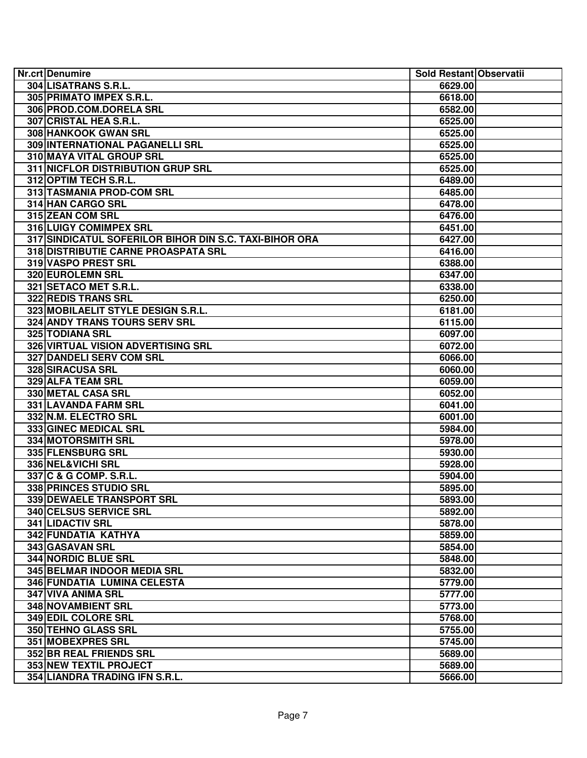| 304 LISATRANS S.R.L.<br>6629.00<br>305 PRIMATO IMPEX S.R.L.<br>6618.00<br>306 PROD.COM.DORELA SRL<br>6582.00<br>307 CRISTAL HEA S.R.L.<br>6525.00<br>308 HANKOOK GWAN SRL<br>6525.00<br>309 INTERNATIONAL PAGANELLI SRL<br>6525.00<br>310 MAYA VITAL GROUP SRL<br>6525.00<br>311 NICFLOR DISTRIBUTION GRUP SRL<br>6525.00<br>312 OPTIM TECH S.R.L.<br>6489.00<br>313 TASMANIA PROD-COM SRL<br>6485.00<br>314 HAN CARGO SRL<br>6478.00<br>315 ZEAN COM SRL<br>6476.00<br>316 LUIGY COMIMPEX SRL<br>6451.00<br>317 SINDICATUL SOFERILOR BIHOR DIN S.C. TAXI-BIHOR ORA<br>6427.00<br>318 DISTRIBUTIE CARNE PROASPATA SRL<br>6416.00<br>319 VASPO PREST SRL<br>6388.00<br>320 EUROLEMN SRL<br>6347.00<br>321 SETACO MET S.R.L.<br>6338.00<br>322 REDIS TRANS SRL<br>6250.00<br>323 MOBILAELIT STYLE DESIGN S.R.L.<br>6181.00<br>324 ANDY TRANS TOURS SERV SRL<br>6115.00<br>325 TODIANA SRL<br>6097.00<br>326 VIRTUAL VISION ADVERTISING SRL<br>6072.00<br>327 DANDELI SERV COM SRL<br>6066.00<br><b>328 SIRACUSA SRL</b><br>6060.00<br>329 ALFA TEAM SRL<br>6059.00<br>330 METAL CASA SRL<br>6052.00<br>331 LAVANDA FARM SRL<br>6041.00<br>332 N.M. ELECTRO SRL<br>6001.00<br>333 GINEC MEDICAL SRL<br>5984.00<br>334 MOTORSMITH SRL<br>5978.00<br>335 FLENSBURG SRL<br>5930.00<br>336 NEL&VICHI SRL<br>5928.00<br>337 C & G COMP. S.R.L.<br>5904.00<br>338 PRINCES STUDIO SRL<br>5895.00<br>339 DEWAELE TRANSPORT SRL<br>5893.00<br>340 CELSUS SERVICE SRL<br>5892.00<br><b>341 LIDACTIV SRL</b><br>5878.00<br>342 FUNDATIA KATHYA<br>5859.00<br>343 GASAVAN SRL<br>5854.00<br><b>344 NORDIC BLUE SRL</b><br>5848.00<br>345 BELMAR INDOOR MEDIA SRL<br>5832.00<br>346 FUNDATIA LUMINA CELESTA<br>5779.00<br>347 VIVA ANIMA SRL<br>5777.00<br>348 NOVAMBIENT SRL<br>5773.00<br>349 EDIL COLORE SRL<br>5768.00<br>350 TEHNO GLASS SRL<br>5755.00<br><b>351 MOBEXPRES SRL</b><br>5745.00<br><b>352 BR REAL FRIENDS SRL</b><br>5689.00<br><b>353 NEW TEXTIL PROJECT</b><br>5689.00<br>354 LIANDRA TRADING IFN S.R.L.<br>5666.00 | Nr.crt Denumire | Sold Restant Observatii |  |
|---------------------------------------------------------------------------------------------------------------------------------------------------------------------------------------------------------------------------------------------------------------------------------------------------------------------------------------------------------------------------------------------------------------------------------------------------------------------------------------------------------------------------------------------------------------------------------------------------------------------------------------------------------------------------------------------------------------------------------------------------------------------------------------------------------------------------------------------------------------------------------------------------------------------------------------------------------------------------------------------------------------------------------------------------------------------------------------------------------------------------------------------------------------------------------------------------------------------------------------------------------------------------------------------------------------------------------------------------------------------------------------------------------------------------------------------------------------------------------------------------------------------------------------------------------------------------------------------------------------------------------------------------------------------------------------------------------------------------------------------------------------------------------------------------------------------------------------------------------------------------------------------------------------------------------------------------------------------------------------------------------------------------|-----------------|-------------------------|--|
|                                                                                                                                                                                                                                                                                                                                                                                                                                                                                                                                                                                                                                                                                                                                                                                                                                                                                                                                                                                                                                                                                                                                                                                                                                                                                                                                                                                                                                                                                                                                                                                                                                                                                                                                                                                                                                                                                                                                                                                                                           |                 |                         |  |
|                                                                                                                                                                                                                                                                                                                                                                                                                                                                                                                                                                                                                                                                                                                                                                                                                                                                                                                                                                                                                                                                                                                                                                                                                                                                                                                                                                                                                                                                                                                                                                                                                                                                                                                                                                                                                                                                                                                                                                                                                           |                 |                         |  |
|                                                                                                                                                                                                                                                                                                                                                                                                                                                                                                                                                                                                                                                                                                                                                                                                                                                                                                                                                                                                                                                                                                                                                                                                                                                                                                                                                                                                                                                                                                                                                                                                                                                                                                                                                                                                                                                                                                                                                                                                                           |                 |                         |  |
|                                                                                                                                                                                                                                                                                                                                                                                                                                                                                                                                                                                                                                                                                                                                                                                                                                                                                                                                                                                                                                                                                                                                                                                                                                                                                                                                                                                                                                                                                                                                                                                                                                                                                                                                                                                                                                                                                                                                                                                                                           |                 |                         |  |
|                                                                                                                                                                                                                                                                                                                                                                                                                                                                                                                                                                                                                                                                                                                                                                                                                                                                                                                                                                                                                                                                                                                                                                                                                                                                                                                                                                                                                                                                                                                                                                                                                                                                                                                                                                                                                                                                                                                                                                                                                           |                 |                         |  |
|                                                                                                                                                                                                                                                                                                                                                                                                                                                                                                                                                                                                                                                                                                                                                                                                                                                                                                                                                                                                                                                                                                                                                                                                                                                                                                                                                                                                                                                                                                                                                                                                                                                                                                                                                                                                                                                                                                                                                                                                                           |                 |                         |  |
|                                                                                                                                                                                                                                                                                                                                                                                                                                                                                                                                                                                                                                                                                                                                                                                                                                                                                                                                                                                                                                                                                                                                                                                                                                                                                                                                                                                                                                                                                                                                                                                                                                                                                                                                                                                                                                                                                                                                                                                                                           |                 |                         |  |
|                                                                                                                                                                                                                                                                                                                                                                                                                                                                                                                                                                                                                                                                                                                                                                                                                                                                                                                                                                                                                                                                                                                                                                                                                                                                                                                                                                                                                                                                                                                                                                                                                                                                                                                                                                                                                                                                                                                                                                                                                           |                 |                         |  |
|                                                                                                                                                                                                                                                                                                                                                                                                                                                                                                                                                                                                                                                                                                                                                                                                                                                                                                                                                                                                                                                                                                                                                                                                                                                                                                                                                                                                                                                                                                                                                                                                                                                                                                                                                                                                                                                                                                                                                                                                                           |                 |                         |  |
|                                                                                                                                                                                                                                                                                                                                                                                                                                                                                                                                                                                                                                                                                                                                                                                                                                                                                                                                                                                                                                                                                                                                                                                                                                                                                                                                                                                                                                                                                                                                                                                                                                                                                                                                                                                                                                                                                                                                                                                                                           |                 |                         |  |
|                                                                                                                                                                                                                                                                                                                                                                                                                                                                                                                                                                                                                                                                                                                                                                                                                                                                                                                                                                                                                                                                                                                                                                                                                                                                                                                                                                                                                                                                                                                                                                                                                                                                                                                                                                                                                                                                                                                                                                                                                           |                 |                         |  |
|                                                                                                                                                                                                                                                                                                                                                                                                                                                                                                                                                                                                                                                                                                                                                                                                                                                                                                                                                                                                                                                                                                                                                                                                                                                                                                                                                                                                                                                                                                                                                                                                                                                                                                                                                                                                                                                                                                                                                                                                                           |                 |                         |  |
|                                                                                                                                                                                                                                                                                                                                                                                                                                                                                                                                                                                                                                                                                                                                                                                                                                                                                                                                                                                                                                                                                                                                                                                                                                                                                                                                                                                                                                                                                                                                                                                                                                                                                                                                                                                                                                                                                                                                                                                                                           |                 |                         |  |
|                                                                                                                                                                                                                                                                                                                                                                                                                                                                                                                                                                                                                                                                                                                                                                                                                                                                                                                                                                                                                                                                                                                                                                                                                                                                                                                                                                                                                                                                                                                                                                                                                                                                                                                                                                                                                                                                                                                                                                                                                           |                 |                         |  |
|                                                                                                                                                                                                                                                                                                                                                                                                                                                                                                                                                                                                                                                                                                                                                                                                                                                                                                                                                                                                                                                                                                                                                                                                                                                                                                                                                                                                                                                                                                                                                                                                                                                                                                                                                                                                                                                                                                                                                                                                                           |                 |                         |  |
|                                                                                                                                                                                                                                                                                                                                                                                                                                                                                                                                                                                                                                                                                                                                                                                                                                                                                                                                                                                                                                                                                                                                                                                                                                                                                                                                                                                                                                                                                                                                                                                                                                                                                                                                                                                                                                                                                                                                                                                                                           |                 |                         |  |
|                                                                                                                                                                                                                                                                                                                                                                                                                                                                                                                                                                                                                                                                                                                                                                                                                                                                                                                                                                                                                                                                                                                                                                                                                                                                                                                                                                                                                                                                                                                                                                                                                                                                                                                                                                                                                                                                                                                                                                                                                           |                 |                         |  |
|                                                                                                                                                                                                                                                                                                                                                                                                                                                                                                                                                                                                                                                                                                                                                                                                                                                                                                                                                                                                                                                                                                                                                                                                                                                                                                                                                                                                                                                                                                                                                                                                                                                                                                                                                                                                                                                                                                                                                                                                                           |                 |                         |  |
|                                                                                                                                                                                                                                                                                                                                                                                                                                                                                                                                                                                                                                                                                                                                                                                                                                                                                                                                                                                                                                                                                                                                                                                                                                                                                                                                                                                                                                                                                                                                                                                                                                                                                                                                                                                                                                                                                                                                                                                                                           |                 |                         |  |
|                                                                                                                                                                                                                                                                                                                                                                                                                                                                                                                                                                                                                                                                                                                                                                                                                                                                                                                                                                                                                                                                                                                                                                                                                                                                                                                                                                                                                                                                                                                                                                                                                                                                                                                                                                                                                                                                                                                                                                                                                           |                 |                         |  |
|                                                                                                                                                                                                                                                                                                                                                                                                                                                                                                                                                                                                                                                                                                                                                                                                                                                                                                                                                                                                                                                                                                                                                                                                                                                                                                                                                                                                                                                                                                                                                                                                                                                                                                                                                                                                                                                                                                                                                                                                                           |                 |                         |  |
|                                                                                                                                                                                                                                                                                                                                                                                                                                                                                                                                                                                                                                                                                                                                                                                                                                                                                                                                                                                                                                                                                                                                                                                                                                                                                                                                                                                                                                                                                                                                                                                                                                                                                                                                                                                                                                                                                                                                                                                                                           |                 |                         |  |
|                                                                                                                                                                                                                                                                                                                                                                                                                                                                                                                                                                                                                                                                                                                                                                                                                                                                                                                                                                                                                                                                                                                                                                                                                                                                                                                                                                                                                                                                                                                                                                                                                                                                                                                                                                                                                                                                                                                                                                                                                           |                 |                         |  |
|                                                                                                                                                                                                                                                                                                                                                                                                                                                                                                                                                                                                                                                                                                                                                                                                                                                                                                                                                                                                                                                                                                                                                                                                                                                                                                                                                                                                                                                                                                                                                                                                                                                                                                                                                                                                                                                                                                                                                                                                                           |                 |                         |  |
|                                                                                                                                                                                                                                                                                                                                                                                                                                                                                                                                                                                                                                                                                                                                                                                                                                                                                                                                                                                                                                                                                                                                                                                                                                                                                                                                                                                                                                                                                                                                                                                                                                                                                                                                                                                                                                                                                                                                                                                                                           |                 |                         |  |
|                                                                                                                                                                                                                                                                                                                                                                                                                                                                                                                                                                                                                                                                                                                                                                                                                                                                                                                                                                                                                                                                                                                                                                                                                                                                                                                                                                                                                                                                                                                                                                                                                                                                                                                                                                                                                                                                                                                                                                                                                           |                 |                         |  |
|                                                                                                                                                                                                                                                                                                                                                                                                                                                                                                                                                                                                                                                                                                                                                                                                                                                                                                                                                                                                                                                                                                                                                                                                                                                                                                                                                                                                                                                                                                                                                                                                                                                                                                                                                                                                                                                                                                                                                                                                                           |                 |                         |  |
|                                                                                                                                                                                                                                                                                                                                                                                                                                                                                                                                                                                                                                                                                                                                                                                                                                                                                                                                                                                                                                                                                                                                                                                                                                                                                                                                                                                                                                                                                                                                                                                                                                                                                                                                                                                                                                                                                                                                                                                                                           |                 |                         |  |
|                                                                                                                                                                                                                                                                                                                                                                                                                                                                                                                                                                                                                                                                                                                                                                                                                                                                                                                                                                                                                                                                                                                                                                                                                                                                                                                                                                                                                                                                                                                                                                                                                                                                                                                                                                                                                                                                                                                                                                                                                           |                 |                         |  |
|                                                                                                                                                                                                                                                                                                                                                                                                                                                                                                                                                                                                                                                                                                                                                                                                                                                                                                                                                                                                                                                                                                                                                                                                                                                                                                                                                                                                                                                                                                                                                                                                                                                                                                                                                                                                                                                                                                                                                                                                                           |                 |                         |  |
|                                                                                                                                                                                                                                                                                                                                                                                                                                                                                                                                                                                                                                                                                                                                                                                                                                                                                                                                                                                                                                                                                                                                                                                                                                                                                                                                                                                                                                                                                                                                                                                                                                                                                                                                                                                                                                                                                                                                                                                                                           |                 |                         |  |
|                                                                                                                                                                                                                                                                                                                                                                                                                                                                                                                                                                                                                                                                                                                                                                                                                                                                                                                                                                                                                                                                                                                                                                                                                                                                                                                                                                                                                                                                                                                                                                                                                                                                                                                                                                                                                                                                                                                                                                                                                           |                 |                         |  |
|                                                                                                                                                                                                                                                                                                                                                                                                                                                                                                                                                                                                                                                                                                                                                                                                                                                                                                                                                                                                                                                                                                                                                                                                                                                                                                                                                                                                                                                                                                                                                                                                                                                                                                                                                                                                                                                                                                                                                                                                                           |                 |                         |  |
|                                                                                                                                                                                                                                                                                                                                                                                                                                                                                                                                                                                                                                                                                                                                                                                                                                                                                                                                                                                                                                                                                                                                                                                                                                                                                                                                                                                                                                                                                                                                                                                                                                                                                                                                                                                                                                                                                                                                                                                                                           |                 |                         |  |
|                                                                                                                                                                                                                                                                                                                                                                                                                                                                                                                                                                                                                                                                                                                                                                                                                                                                                                                                                                                                                                                                                                                                                                                                                                                                                                                                                                                                                                                                                                                                                                                                                                                                                                                                                                                                                                                                                                                                                                                                                           |                 |                         |  |
|                                                                                                                                                                                                                                                                                                                                                                                                                                                                                                                                                                                                                                                                                                                                                                                                                                                                                                                                                                                                                                                                                                                                                                                                                                                                                                                                                                                                                                                                                                                                                                                                                                                                                                                                                                                                                                                                                                                                                                                                                           |                 |                         |  |
|                                                                                                                                                                                                                                                                                                                                                                                                                                                                                                                                                                                                                                                                                                                                                                                                                                                                                                                                                                                                                                                                                                                                                                                                                                                                                                                                                                                                                                                                                                                                                                                                                                                                                                                                                                                                                                                                                                                                                                                                                           |                 |                         |  |
|                                                                                                                                                                                                                                                                                                                                                                                                                                                                                                                                                                                                                                                                                                                                                                                                                                                                                                                                                                                                                                                                                                                                                                                                                                                                                                                                                                                                                                                                                                                                                                                                                                                                                                                                                                                                                                                                                                                                                                                                                           |                 |                         |  |
|                                                                                                                                                                                                                                                                                                                                                                                                                                                                                                                                                                                                                                                                                                                                                                                                                                                                                                                                                                                                                                                                                                                                                                                                                                                                                                                                                                                                                                                                                                                                                                                                                                                                                                                                                                                                                                                                                                                                                                                                                           |                 |                         |  |
|                                                                                                                                                                                                                                                                                                                                                                                                                                                                                                                                                                                                                                                                                                                                                                                                                                                                                                                                                                                                                                                                                                                                                                                                                                                                                                                                                                                                                                                                                                                                                                                                                                                                                                                                                                                                                                                                                                                                                                                                                           |                 |                         |  |
|                                                                                                                                                                                                                                                                                                                                                                                                                                                                                                                                                                                                                                                                                                                                                                                                                                                                                                                                                                                                                                                                                                                                                                                                                                                                                                                                                                                                                                                                                                                                                                                                                                                                                                                                                                                                                                                                                                                                                                                                                           |                 |                         |  |
|                                                                                                                                                                                                                                                                                                                                                                                                                                                                                                                                                                                                                                                                                                                                                                                                                                                                                                                                                                                                                                                                                                                                                                                                                                                                                                                                                                                                                                                                                                                                                                                                                                                                                                                                                                                                                                                                                                                                                                                                                           |                 |                         |  |
|                                                                                                                                                                                                                                                                                                                                                                                                                                                                                                                                                                                                                                                                                                                                                                                                                                                                                                                                                                                                                                                                                                                                                                                                                                                                                                                                                                                                                                                                                                                                                                                                                                                                                                                                                                                                                                                                                                                                                                                                                           |                 |                         |  |
|                                                                                                                                                                                                                                                                                                                                                                                                                                                                                                                                                                                                                                                                                                                                                                                                                                                                                                                                                                                                                                                                                                                                                                                                                                                                                                                                                                                                                                                                                                                                                                                                                                                                                                                                                                                                                                                                                                                                                                                                                           |                 |                         |  |
|                                                                                                                                                                                                                                                                                                                                                                                                                                                                                                                                                                                                                                                                                                                                                                                                                                                                                                                                                                                                                                                                                                                                                                                                                                                                                                                                                                                                                                                                                                                                                                                                                                                                                                                                                                                                                                                                                                                                                                                                                           |                 |                         |  |
|                                                                                                                                                                                                                                                                                                                                                                                                                                                                                                                                                                                                                                                                                                                                                                                                                                                                                                                                                                                                                                                                                                                                                                                                                                                                                                                                                                                                                                                                                                                                                                                                                                                                                                                                                                                                                                                                                                                                                                                                                           |                 |                         |  |
|                                                                                                                                                                                                                                                                                                                                                                                                                                                                                                                                                                                                                                                                                                                                                                                                                                                                                                                                                                                                                                                                                                                                                                                                                                                                                                                                                                                                                                                                                                                                                                                                                                                                                                                                                                                                                                                                                                                                                                                                                           |                 |                         |  |
|                                                                                                                                                                                                                                                                                                                                                                                                                                                                                                                                                                                                                                                                                                                                                                                                                                                                                                                                                                                                                                                                                                                                                                                                                                                                                                                                                                                                                                                                                                                                                                                                                                                                                                                                                                                                                                                                                                                                                                                                                           |                 |                         |  |
|                                                                                                                                                                                                                                                                                                                                                                                                                                                                                                                                                                                                                                                                                                                                                                                                                                                                                                                                                                                                                                                                                                                                                                                                                                                                                                                                                                                                                                                                                                                                                                                                                                                                                                                                                                                                                                                                                                                                                                                                                           |                 |                         |  |
|                                                                                                                                                                                                                                                                                                                                                                                                                                                                                                                                                                                                                                                                                                                                                                                                                                                                                                                                                                                                                                                                                                                                                                                                                                                                                                                                                                                                                                                                                                                                                                                                                                                                                                                                                                                                                                                                                                                                                                                                                           |                 |                         |  |
|                                                                                                                                                                                                                                                                                                                                                                                                                                                                                                                                                                                                                                                                                                                                                                                                                                                                                                                                                                                                                                                                                                                                                                                                                                                                                                                                                                                                                                                                                                                                                                                                                                                                                                                                                                                                                                                                                                                                                                                                                           |                 |                         |  |